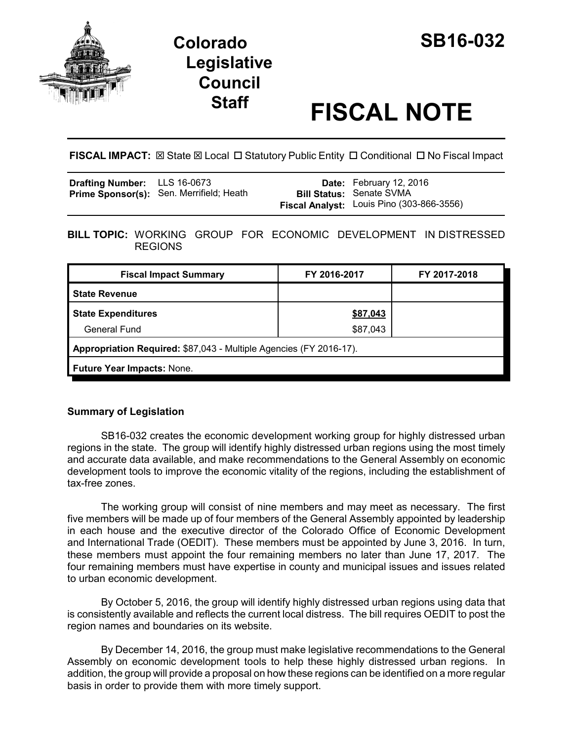

## **Colorado SB16-032 Legislative Council**

# **Staff FISCAL NOTE**

**FISCAL IMPACT:**  $\boxtimes$  State  $\boxtimes$  Local  $\Box$  Statutory Public Entity  $\Box$  Conditional  $\Box$  No Fiscal Impact

| <b>Drafting Number:</b> LLS 16-0673 |                                          | Date: February 12, 2016                   |
|-------------------------------------|------------------------------------------|-------------------------------------------|
|                                     | Prime Sponsor(s): Sen. Merrifield; Heath | <b>Bill Status: Senate SVMA</b>           |
|                                     |                                          | Fiscal Analyst: Louis Pino (303-866-3556) |

**BILL TOPIC:** WORKING GROUP FOR ECONOMIC DEVELOPMENT IN DISTRESSED REGIONS

| <b>Fiscal Impact Summary</b>                                       | FY 2016-2017 | FY 2017-2018 |  |  |
|--------------------------------------------------------------------|--------------|--------------|--|--|
| <b>State Revenue</b>                                               |              |              |  |  |
| <b>State Expenditures</b>                                          | \$87,043     |              |  |  |
| <b>General Fund</b>                                                | \$87,043     |              |  |  |
| Appropriation Required: \$87,043 - Multiple Agencies (FY 2016-17). |              |              |  |  |
| Future Year Impacts: None.                                         |              |              |  |  |

### **Summary of Legislation**

SB16-032 creates the economic development working group for highly distressed urban regions in the state. The group will identify highly distressed urban regions using the most timely and accurate data available, and make recommendations to the General Assembly on economic development tools to improve the economic vitality of the regions, including the establishment of tax-free zones.

The working group will consist of nine members and may meet as necessary. The first five members will be made up of four members of the General Assembly appointed by leadership in each house and the executive director of the Colorado Office of Economic Development and International Trade (OEDIT). These members must be appointed by June 3, 2016. In turn, these members must appoint the four remaining members no later than June 17, 2017. The four remaining members must have expertise in county and municipal issues and issues related to urban economic development.

By October 5, 2016, the group will identify highly distressed urban regions using data that is consistently available and reflects the current local distress. The bill requires OEDIT to post the region names and boundaries on its website.

By December 14, 2016, the group must make legislative recommendations to the General Assembly on economic development tools to help these highly distressed urban regions. In addition, the group will provide a proposal on how these regions can be identified on a more regular basis in order to provide them with more timely support.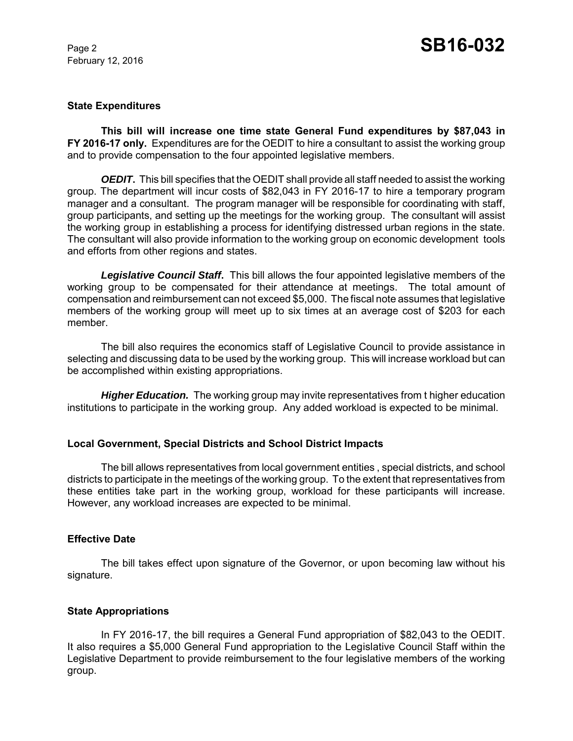February 12, 2016

#### **State Expenditures**

**This bill will increase one time state General Fund expenditures by \$87,043 in FY 2016-17 only.** Expenditures are for the OEDIT to hire a consultant to assist the working group and to provide compensation to the four appointed legislative members.

*OEDIT*. This bill specifies that the OEDIT shall provide all staff needed to assist the working group. The department will incur costs of \$82,043 in FY 2016-17 to hire a temporary program manager and a consultant. The program manager will be responsible for coordinating with staff, group participants, and setting up the meetings for the working group. The consultant will assist the working group in establishing a process for identifying distressed urban regions in the state. The consultant will also provide information to the working group on economic development tools and efforts from other regions and states.

*Legislative Council Staff***.** This bill allows the four appointed legislative members of the working group to be compensated for their attendance at meetings. The total amount of compensation and reimbursement can not exceed \$5,000. The fiscal note assumes that legislative members of the working group will meet up to six times at an average cost of \$203 for each member.

The bill also requires the economics staff of Legislative Council to provide assistance in selecting and discussing data to be used by the working group. This will increase workload but can be accomplished within existing appropriations.

**Higher Education.** The working group may invite representatives from t higher education institutions to participate in the working group. Any added workload is expected to be minimal.

#### **Local Government, Special Districts and School District Impacts**

The bill allows representatives from local government entities , special districts, and school districts to participate in the meetings of the working group. To the extent that representatives from these entities take part in the working group, workload for these participants will increase. However, any workload increases are expected to be minimal.

#### **Effective Date**

The bill takes effect upon signature of the Governor, or upon becoming law without his signature.

#### **State Appropriations**

In FY 2016-17, the bill requires a General Fund appropriation of \$82,043 to the OEDIT. It also requires a \$5,000 General Fund appropriation to the Legislative Council Staff within the Legislative Department to provide reimbursement to the four legislative members of the working group.